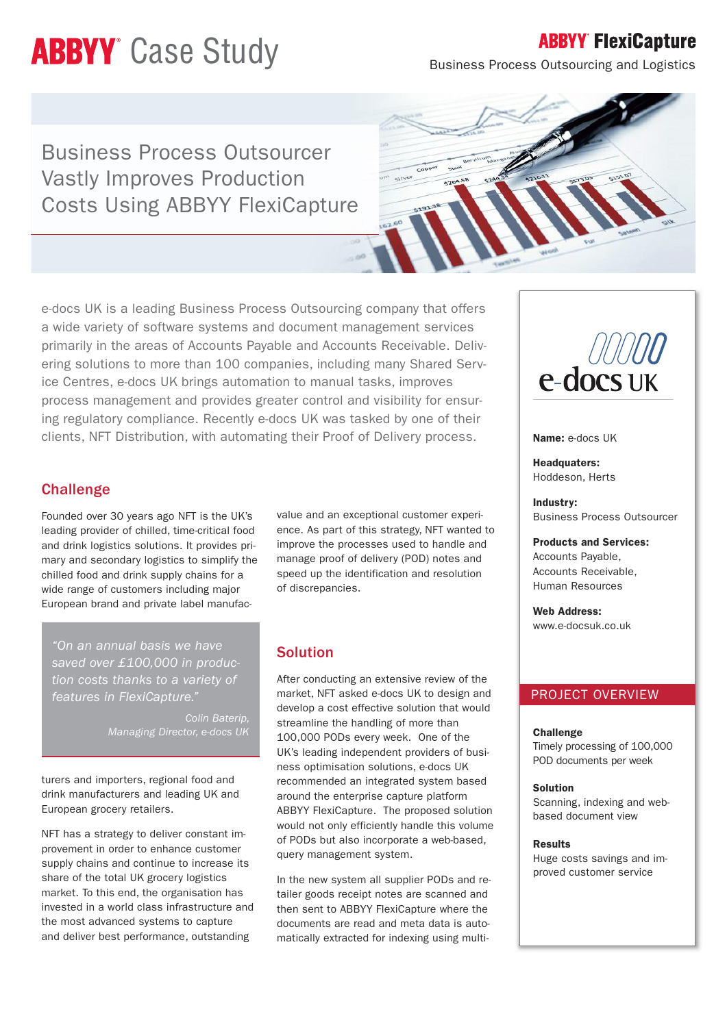# **ABBYY** Case Study

## **ABBYY FlexiCapture**

Business Process Outsourcing and Logistics

Business Process Outsourcer Vastly Improves Production Costs Using ABBYY FlexiCapture



e-docs UK is a leading Business Process Outsourcing company that offers a wide variety of software systems and document management services primarily in the areas of Accounts Payable and Accounts Receivable. Delivering solutions to more than 100 companies, including many Shared Service Centres, e-docs UK brings automation to manual tasks, improves process management and provides greater control and visibility for ensuring regulatory compliance. Recently e-docs UK was tasked by one of their clients, NFT Distribution, with automating their Proof of Delivery process.

## **Challenge**

Founded over 30 years ago NFT is the UK's leading provider of chilled, time-critical food and drink logistics solutions. It provides primary and secondary logistics to simplify the chilled food and drink supply chains for a wide range of customers including major European brand and private label manufac-

*"On an annual basis we have saved over £100,000 in production costs thanks to a variety of features in FlexiCapture."*

> *Colin Baterip, Managing Director, e-docs UK*

turers and importers, regional food and drink manufacturers and leading UK and European grocery retailers.

NFT has a strategy to deliver constant improvement in order to enhance customer supply chains and continue to increase its share of the total UK grocery logistics market. To this end, the organisation has invested in a world class infrastructure and the most advanced systems to capture and deliver best performance, outstanding

value and an exceptional customer experience. As part of this strategy, NFT wanted to improve the processes used to handle and manage proof of delivery (POD) notes and speed up the identification and resolution of discrepancies.

## Solution

After conducting an extensive review of the market, NFT asked e-docs UK to design and develop a cost effective solution that would streamline the handling of more than 100,000 PODs every week. One of the UK's leading independent providers of business optimisation solutions, e-docs UK recommended an integrated system based around the enterprise capture platform ABBYY FlexiCapture. The proposed solution would not only efficiently handle this volume of PODs but also incorporate a web-based, query management system.

In the new system all supplier PODs and retailer goods receipt notes are scanned and then sent to ABBYY FlexiCapture where the documents are read and meta data is automatically extracted for indexing using multi-



#### **Name:** e-docs UK

**Headquaters:** Hoddeson, Herts

**Industry:** Business Process Outsourcer

**Products and Services:** Accounts Payable, Accounts Receivable, Human Resources

**Web Address:** www.e-docsuk.co.uk

#### PROJECT OVERVIEW

#### **Challenge**

Timely processing of 100,000 POD documents per week

**Solution**

Scanning, indexing and webbased document view

#### **Results**

Huge costs savings and improved customer service